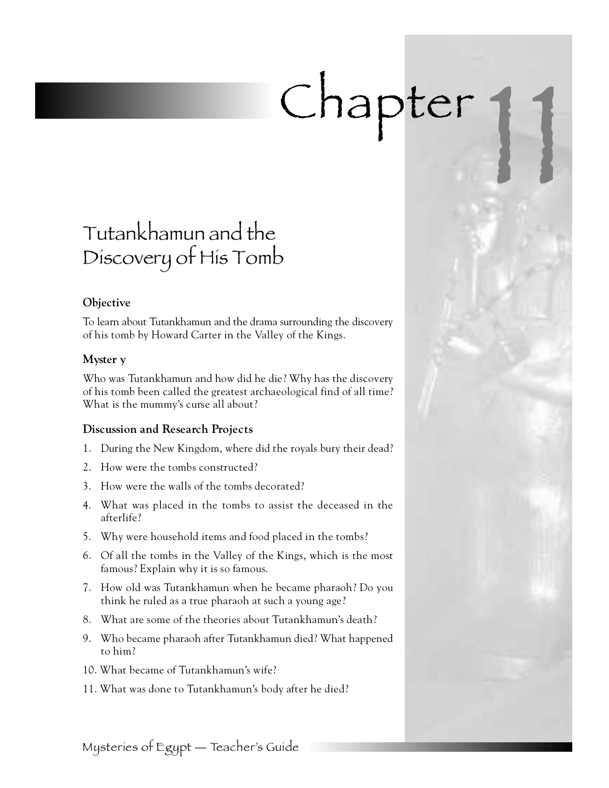# Chapter

# Tutankhamun and the Discovery of His Tomb

# **Objective**

To learn about Tutankhamun and the drama surrounding the discovery of his tomb by Howard Carter in the Valley of the Kings.

# **Myster y**

Who was Tutankhamun and how did he die? Why has the discovery of his tomb been called the greatest archaeological find of all time? What is the mummy's curse all about?

# **Discussion and Research Projects**

- 1. During the New Kingdom, where did the royals bury their dead?
- 2. How were the tombs constructed?
- 3 . How were the walls of the tombs decorated?
- 4 . What was placed in the tombs to assist the deceased in the afterlife?
- 5 . Why were household items and food placed in the tombs?
- 6 . Of all the tombs in the Valley of the Kings, which is the most famous? Explain why it is so famous.
- 7 . How old was Tutankhamun when he became pharaoh? Do you think he ruled as a true pharaoh at such a young age?
- 8. What are some of the theories about Tutankhamun's death?
- 9 . Who became pharaoh after Tutankhamun died? What happened to him?
- 10. What became of Tutankhamun's wife?
- 11. What was done to Tutankhamun's body after he died?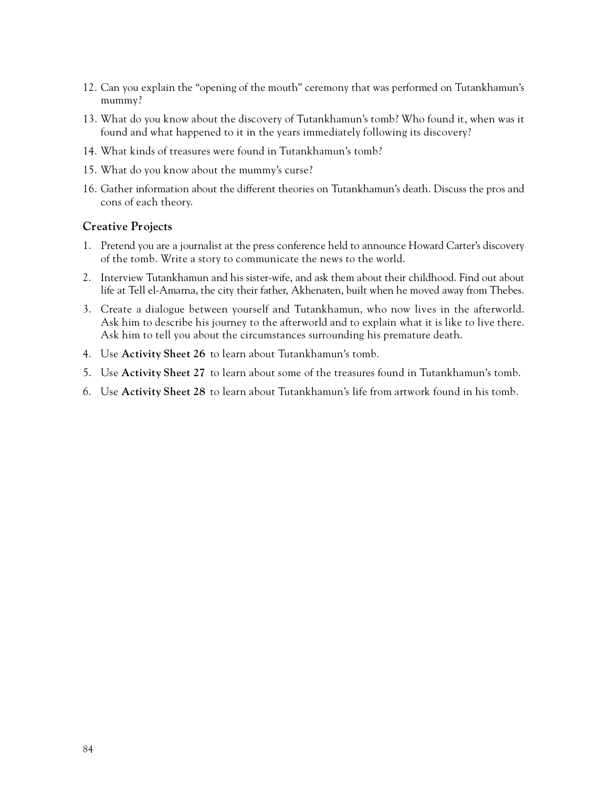- 12. Can you explain the "opening of the mouth" ceremony that was performed on Tutankhamun's mummy?
- 13. What do you know about the discovery of Tutankhamun's tomb? Who found it, when was it found and what happened to it in the years immediately following its discovery?
- 14. What kinds of treasures were found in Tutankhamun's tomb?
- 15. What do you know about the mummy's curse?
- 16. Gather information about the different theories on Tutankhamun's death. Discuss the pros and cons of each theory.

#### **Creative Projects**

- 1. Pretend you are a journalist at the press conference held to announce Howard Carter's discovery of the tomb. Write a story to communicate the news to the world.
- 2. Interview Tutankhamun and his sister-wife, and ask them about their childhood. Find out about life at Tell el-Amarna, the city their father, Akhenaten, built when he moved away from Thebes.
- 3. Create a dialogue between yourself and Tutankhamun, who now lives in the afterworld. Ask him to describe his journey to the afterworld and to explain what it is like to live there . Ask him to tell you about the circumstances surrounding his premature death.
- 4. Use **Activity Sheet 26** to learn about Tutankhamun's tomb.
- 5. Use **Activity Sheet 27** to learn about some of the treasures found in Tutankhamun's tomb.
- 6. Use Activity Sheet 28 to learn about Tutankhamun's life from artwork found in his tomb.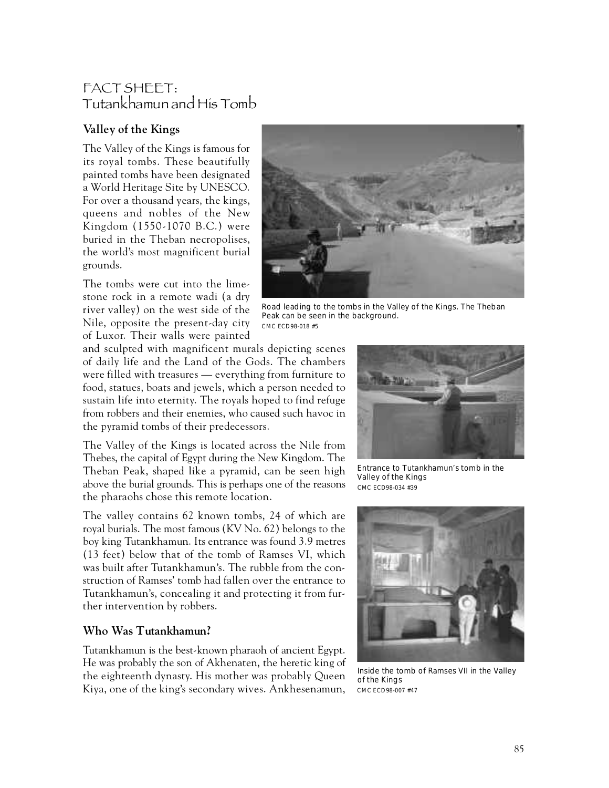# FACT SHEET: Tutankhamun and His Tomb

# **Valley of the Kings**

The Valley of the Kings is famous for its royal tombs. These beautifully painted tombs have been designated a World Heritage Site by UNESCO. For over a thousand years, the kings, queens and nobles of the New Kingdom (1550-1070 B.C.) were buried in the Theban necropolises, the world's most magnificent burial g rounds.

The tombs were cut into the limestone rock in a remote wadi (a dry river valley) on the west side of the Nile, opposite the present-day city of Luxor. Their walls were painted



Road leading to the tombs in the Valley of the Kings. The Theban Peak can be seen in the background. CMC ECD98-018 #5

and sculpted with magnificent murals depicting scenes of daily life and the Land of the Gods. The chambers were filled with treasures  $-$  everything from furniture to food, statues, boats and jewels, which a person needed to sustain life into eternity. The royals hoped to find refuge from robbers and their enemies, who caused such havoc in the pyramid tombs of their predecessors.

The Valley of the Kings is located across the Nile from Thebes, the capital of Egypt during the New Kingdom. The Theban Peak, shaped like a pyramid, can be seen high above the burial grounds. This is perhaps one of the reasons the pharaohs chose this remote location.

The valley contains 62 known tombs, 24 of which are royal burials. The most famous (KV No. 62) belongs to the boy king Tutankhamun. Its entrance was found 3.9 metres (13 feet) below that of the tomb of Ramses VI, which was built after Tutankhamun's. The rubble from the construction of Ramses' tomb had fallen over the entrance to Tutankhamun's, concealing it and protecting it from further intervention by robbers.

# **Who Was Tutankhamun?**

Tutankhamun is the best-known pharaoh of ancient Egypt. He was probably the son of Akhenaten, the heretic king of the eighteenth dynasty. His mother was probably Queen Kiya, one of the king's secondary wives. Ankhesenamun,



Entrance to Tutankhamun's tomb in the Valley of the Kings CMC ECD98-034 #39



Inside the tomb of Ramses VII in the Valley of the Kings CMC ECD98-007 #47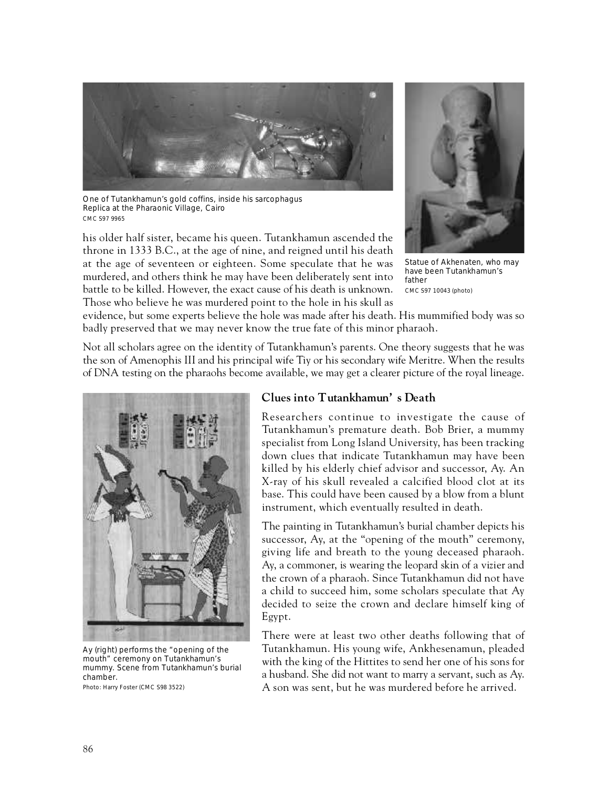

One of Tutankhamun's gold coffins, inside his sarcophagus Replica at the Pharaonic Village, Cairo CMC S97 9965

his older half sister, became his queen. Tutankhamun ascended the throne in 1333 B.C., at the age of nine, and reigned until his death at the age of seventeen or eighteen. Some speculate that he was murdered, and others think he may have been deliberately sent into battle to be killed. However, the exact cause of his death is unknown. Those who believe he was murdered point to the hole in his skull as



Statue of Akhenaten, who may have been Tutankhamun's father CMC S97 10043 (photo)

evidence, but some experts believe the hole was made after his death. His mummified body was so badly preserved that we may never know the true fate of this minor pharaoh.

Not all scholars agree on the identity of Tutankhamun's parents. One theory suggests that he was the son of Amenophis III and his principal wife Tiy or his secondary wife Meritre. When the results of DNA testing on the pharaohs become available, we may get a clearer picture of the royal lineage.



Ay (right) performs the "opening of the mouth" ceremony on Tutankhamun's mummy. Scene from Tutankhamun's burial chamber.

Photo: Harry Foster (CMC S98 3522)

#### **Clues into Tutankhamun's Death**

Researchers continue to investigate the cause of Tutankhamun's premature death. Bob Brier, a mummy specialist from Long Island University, has been tracking down clues that indicate Tutankhamun may have been killed by his elderly chief advisor and successor, Ay. An X-ray of his skull revealed a calcified blood clot at its base. This could have been caused by a blow from a blunt instrument, which eventually resulted in death.

The painting in Tutankhamun's burial chamber depicts his successor, Ay, at the "opening of the mouth" ceremony, giving life and breath to the young deceased pharaoh. Ay, a commoner, is wearing the leopard skin of a vizier and the crown of a pharaoh. Since Tutankhamun did not have a child to succeed him, some scholars speculate that Ay decided to seize the crown and declare himself king of Egypt.

There were at least two other deaths following that of Tutankhamun. His young wife, Ankhesenamun, pleaded with the king of the Hittites to send her one of his sons for a husband. She did not want to marry a servant, such as Ay. A son was sent, but he was murdered before he arrived.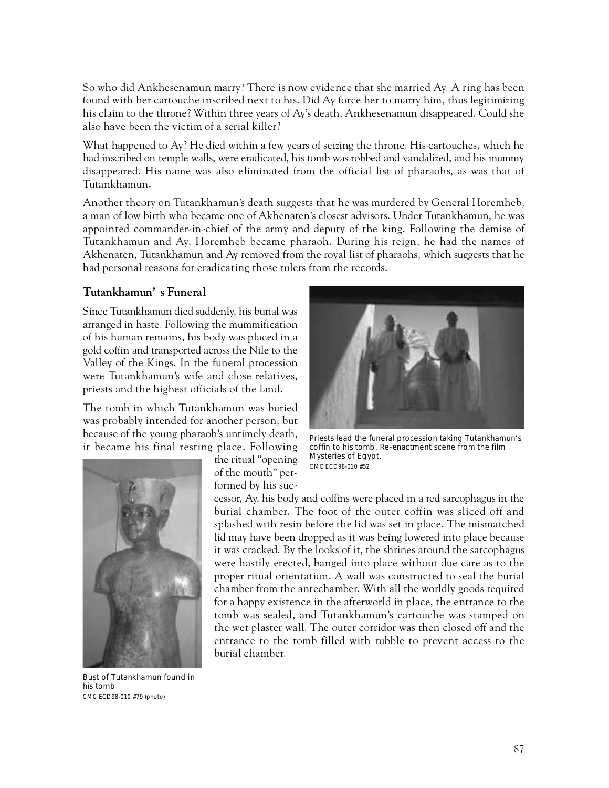So who did Ankhesenamun marry? There is now evidence that she married Ay. A ring has been found with her cartouche inscribed next to his. Did Ay force her to marry him, thus legitimizing his claim to the throne? Within three years of Ay's death, Ankhesenamun disappeared. Could she also have been the victim of a serial killer?

What happened to Ay? He died within a few years of seizing the throne. His cartouches, which he had inscribed on temple walls, were eradicated, his tomb was robbed and vandalized, and his mummy disappeared. His name was also eliminated from the official list of pharaohs, as was that of Tutankhamun.

Another theory on Tutankhamun's death suggests that he was murdered by General Horemheb, a man of low birth who became one of Akhenaten's closest advisors. Under Tutankhamun, he was appointed commander-in-chief of the army and deputy of the king. Following the demise of Tutankhamun and Ay, Horemheb became pharaoh. During his reign, he had the names of Akhenaten, Tutankhamun and Ay removed from the royal list of pharaohs, which suggests that he had personal reasons for eradicating those rulers from the records.

#### **Tu t a n k h a m u n ' s Funeral**

Since Tutankhamun died suddenly, his burial was arranged in haste. Following the mummification of his human remains, his body was placed in a gold coffin and transported across the Nile to the Valley of the Kings. In the funeral procession were Tutankhamun's wife and close relatives, priests and the highest officials of the land.

The tomb in which Tutankhamun was buried was probably intended for another person, but because of the young pharaoh's untimely death, it became his final resting place. Following



Bust of Tutankhamun found in his tomb CMC ECD98-010 #79 (photo)

the ritual "opening of the mouth" performed by his suc-



Priests lead the funeral procession taking Tutankhamun's coffin to his tomb. Re-enactment scene from the film Mysteries of Egypt. CMC ECD98-010 #52

cessor, Ay, his body and coffins were placed in a red sarcophagus in the burial chamber. The foot of the outer coffin was sliced off and splashed with resin before the lid was set in place. The mismatched lid may have been dropped as it was being lowered into place because it was cracked. By the looks of it, the shrines around the sarcophagus were hastily erected, banged into place without due care as to the proper ritual orientation. A wall was constructed to seal the burial chamber from the antechamber. With all the worldly goods required for a happy existence in the afterworld in place, the entrance to the tomb was sealed, and Tutankhamun's cartouche was stamped on the wet plaster wall. The outer corridor was then closed off and the entrance to the tomb filled with rubble to prevent access to the burial chamber.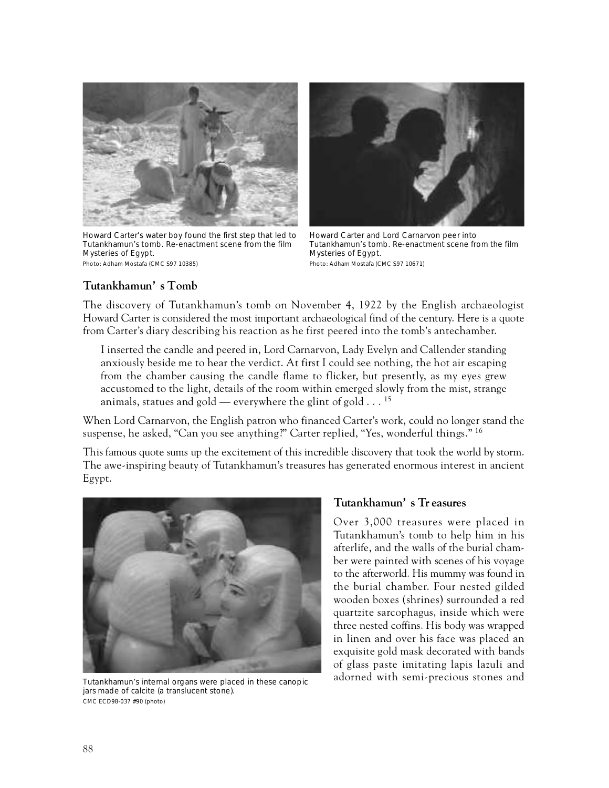

Howard Carter's water boy found the first step that led to Tutankhamun's tomb. Re-enactment scene from the film Mysteries of Egypt. Photo: Adham Mostafa (CMC S97 10385)



Howard Carter and Lord Carnarvon peer into Tutankhamun's tomb. Re-enactment scene from the film Mysteries of Egypt. Photo: Adham Mostafa (CMC S97 10671)

#### Tutankhamun's Tomb

The discovery of Tutankhamun's tomb on November 4, 1922 by the English archaeologist Howard Carter is considered the most important archaeological find of the century. Here is a quote from Carter's diary describing his reaction as he first peered into the tomb's antechamber.

I inserted the candle and peered in, Lord Carnarvon, Lady Evelyn and Callender standing anxiously beside me to hear the verdict. At first I could see nothing, the hot air escaping from the chamber causing the candle flame to flicker, but presently, as my eyes grew accustomed to the light, details of the room within emerged slowly from the mist, strange animals, statues and gold — everywhere the glint of gold  $\ldots$  <sup>15</sup>

When Lord Carnarvon, the English patron who financed Carter's work, could no longer stand the suspense, he asked, "Can you see anything?" Carter replied, "Yes, wonderful things."  $^{16}$ 

This famous quote sums up the excitement of this incredible discovery that took the world by storm . The awe-inspiring beauty of Tutankhamun's treasures has generated enormous interest in ancient Egypt.



Tutankhamun's internal organs were placed in these canopic jars made of calcite (a translucent stone). CMC ECD98-037 #90 (photo)

#### Tutankhamun's Treasures

Over 3,000 treasures were placed in Tutankhamun's tomb to help him in his afterlife, and the walls of the burial chamber were painted with scenes of his voyage to the afterworld. His mummy was found in the burial chamber. Four nested gilded wooden boxes (shrines) surrounded a red quartzite sarcophagus, inside which were three nested coffins. His body was wrapped in linen and over his face was placed an exquisite gold mask decorated with bands of glass paste imitating lapis lazuli and adorned with semi-precious stones and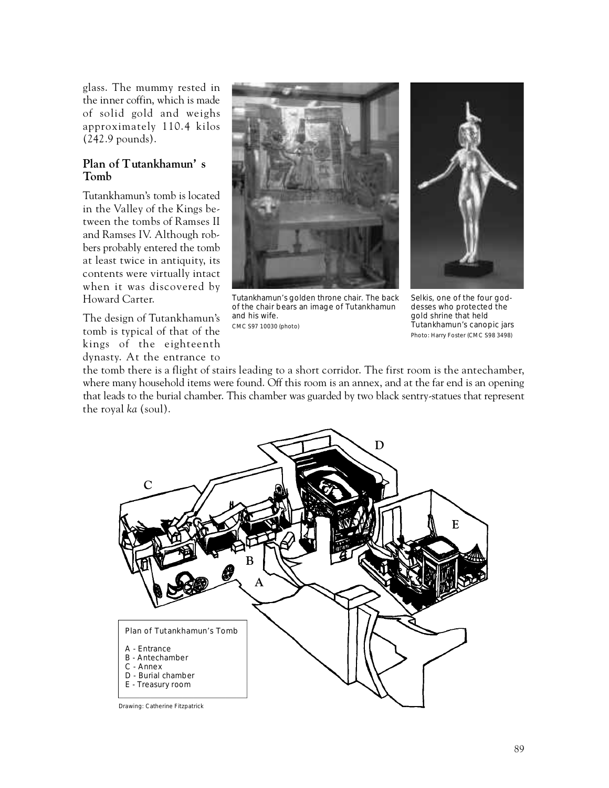glass. The mummy rested in the inner coffin, which is made of solid gold and weighs approximately 110.4 kilos (242.9 pounds).

#### **Plan of Tutankhamun's To m b**

Tutankhamun's tomb is located in the Valley of the Kings between the tombs of Ramses II and Ramses IV. Although robbers probably entered the tomb at least twice in antiquity, its contents were virtually intact when it was discovered by Howard Carter.

The design of Tutankhamun's tomb is typical of that of the kings of the eighteenth dynasty. At the entrance to



Tutankhamun's golden throne chair. The back of the chair bears an image of Tutankhamun and his wife. CMC S97 10030 (photo)



Selkis, one of the four goddesses who protected the gold shrine that held Tutankhamun's canopic jars Photo: Harry Foster (CMC S98 3498)

the tomb there is a flight of stairs leading to a short corridor. The first room is the antechamber, where many household items were found. Off this room is an annex, and at the far end is an opening that leads to the burial chamber. This chamber was guarded by two black sentry-statues that represent the royal *ka* (soul).



Drawing: Catherine Fitzpatrick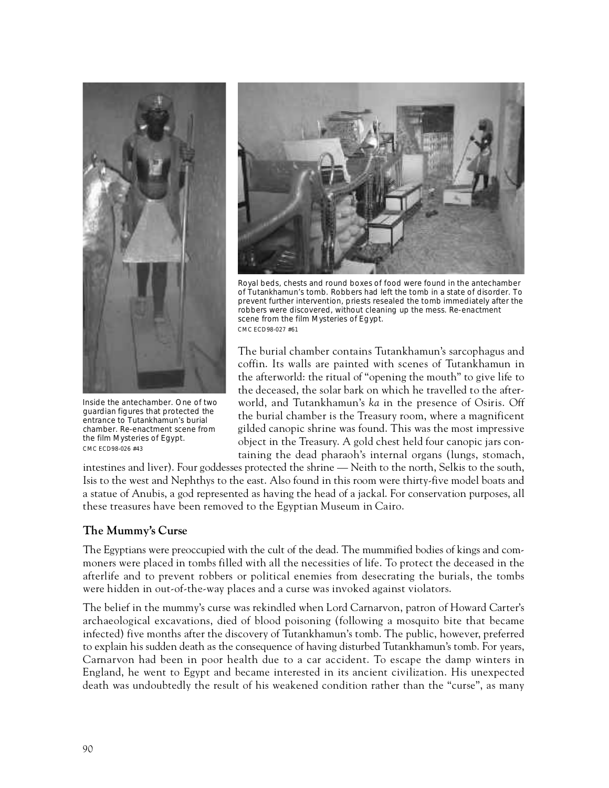

Inside the antechamber. One of two guardian figures that protected the entrance to Tutankhamun's burial chamber. Re-enactment scene from the film Mysteries of Egypt. CMC ECD98-026 #43



Royal beds, chests and round boxes of food were found in the antechamber of Tutankhamun's tomb. Robbers had left the tomb in a state of disorder. To prevent further intervention, priests resealed the tomb immediately after the robbers were discovered, without cleaning up the mess. Re-enactment scene from the film Mysteries of Egypt. CMC ECD98-027 #61

The burial chamber contains Tutankhamun's sarcophagus and coffin. Its walls are painted with scenes of Tutankhamun in the afterworld: the ritual of "opening the mouth" to give life to the deceased, the solar bark on which he travelled to the afterworld, and Tutankhamun's *ka* in the presence of Osiris. Off the burial chamber is the Treasury room, where a magnificent gilded canopic shrine was found. This was the most impressive object in the Treasury. A gold chest held four canopic jars containing the dead pharaoh's internal organs (lungs, stomach,

intestines and liver). Four goddesses protected the shrine — Neith to the north, Selkis to the south, Isis to the west and Nephthys to the east. Also found in this room were thirty-five model boats and a statue of Anubis, a god represented as having the head of a jackal. For conservation purposes, all these treasures have been removed to the Egyptian Museum in Cairo.

# **The Mummy's Curse**

The Egyptians were preoccupied with the cult of the dead. The mummified bodies of kings and commoners were placed in tombs filled with all the necessities of life. To protect the deceased in the afterlife and to prevent robbers or political enemies from desecrating the burials, the tombs were hidden in out-of-the-way places and a curse was invoked against violators.

The belief in the mummy's curse was rekindled when Lord Carnarvon, patron of Howard Carter's a rchaeological excavations, died of blood poisoning (following a mosquito bite that became infected) five months after the discovery of Tutankhamun's tomb. The public, however, preferred to explain his sudden death as the consequence of having disturbed Tutankhamun's tomb. For years, Carnarvon had been in poor health due to a car accident. To escape the damp winters in England, he went to Egypt and became interested in its ancient civilization. His unexpected death was undoubtedly the result of his weakened condition rather than the "curse", as many